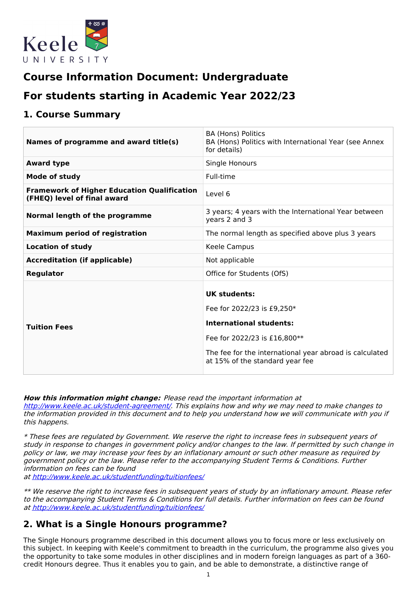

# **Course Information Document: Undergraduate**

# **For students starting in Academic Year 2022/23**

## **1. Course Summary**

| Names of programme and award title(s)                                             | <b>BA (Hons) Politics</b><br>BA (Hons) Politics with International Year (see Annex<br>for details)                                                                                                                |
|-----------------------------------------------------------------------------------|-------------------------------------------------------------------------------------------------------------------------------------------------------------------------------------------------------------------|
| <b>Award type</b>                                                                 | Single Honours                                                                                                                                                                                                    |
| Mode of study                                                                     | Full-time                                                                                                                                                                                                         |
| <b>Framework of Higher Education Qualification</b><br>(FHEQ) level of final award | Level 6                                                                                                                                                                                                           |
| Normal length of the programme                                                    | 3 years; 4 years with the International Year between<br>years 2 and 3                                                                                                                                             |
| <b>Maximum period of registration</b>                                             | The normal length as specified above plus 3 years                                                                                                                                                                 |
| <b>Location of study</b>                                                          | Keele Campus                                                                                                                                                                                                      |
| <b>Accreditation (if applicable)</b>                                              | Not applicable                                                                                                                                                                                                    |
| <b>Regulator</b>                                                                  | Office for Students (OfS)                                                                                                                                                                                         |
| <b>Tuition Fees</b>                                                               | <b>UK students:</b><br>Fee for 2022/23 is £9,250*<br><b>International students:</b><br>Fee for 2022/23 is £16,800**<br>The fee for the international year abroad is calculated<br>at 15% of the standard year fee |

**How this information might change:** Please read the important information at <http://www.keele.ac.uk/student-agreement/>. This explains how and why we may need to make changes to the information provided in this document and to help you understand how we will communicate with you if this happens.

\* These fees are regulated by Government. We reserve the right to increase fees in subsequent years of study in response to changes in government policy and/or changes to the law. If permitted by such change in policy or law, we may increase your fees by an inflationary amount or such other measure as required by government policy or the law. Please refer to the accompanying Student Terms & Conditions. Further information on fees can be found

at <http://www.keele.ac.uk/studentfunding/tuitionfees/>

\*\* We reserve the right to increase fees in subsequent years of study by an inflationary amount. Please refer to the accompanying Student Terms & Conditions for full details. Further information on fees can be found at <http://www.keele.ac.uk/studentfunding/tuitionfees/>

# **2. What is a Single Honours programme?**

The Single Honours programme described in this document allows you to focus more or less exclusively on this subject. In keeping with Keele's commitment to breadth in the curriculum, the programme also gives you the opportunity to take some modules in other disciplines and in modern foreign languages as part of a 360 credit Honours degree. Thus it enables you to gain, and be able to demonstrate, a distinctive range of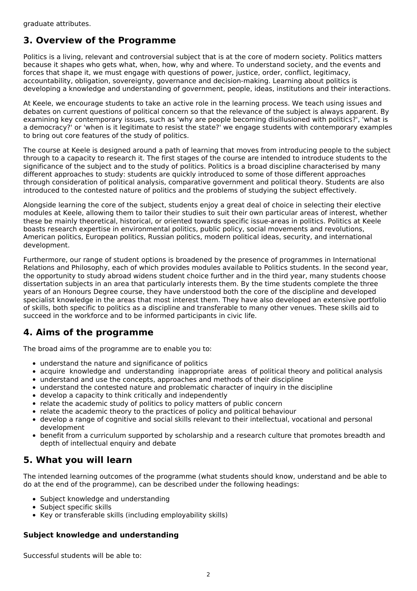# **3. Overview of the Programme**

Politics is a living, relevant and controversial subject that is at the core of modern society. Politics matters because it shapes who gets what, when, how, why and where. To understand society, and the events and forces that shape it, we must engage with questions of power, justice, order, conflict, legitimacy, accountability, obligation, sovereignty, governance and decision-making. Learning about politics is developing a knowledge and understanding of government, people, ideas, institutions and their interactions.

At Keele, we encourage students to take an active role in the learning process. We teach using issues and debates on current questions of political concern so that the relevance of the subject is always apparent. By examining key contemporary issues, such as 'why are people becoming disillusioned with politics?', 'what is a democracy?' or 'when is it legitimate to resist the state?' we engage students with contemporary examples to bring out core features of the study of politics.

The course at Keele is designed around a path of learning that moves from introducing people to the subject through to a capacity to research it. The first stages of the course are intended to introduce students to the significance of the subject and to the study of politics. Politics is a broad discipline characterised by many different approaches to study: students are quickly introduced to some of those different approaches through consideration of political analysis, comparative government and political theory. Students are also introduced to the contested nature of politics and the problems of studying the subject effectively.

Alongside learning the core of the subject, students enjoy a great deal of choice in selecting their elective modules at Keele, allowing them to tailor their studies to suit their own particular areas of interest, whether these be mainly theoretical, historical, or oriented towards specific issue-areas in politics. Politics at Keele boasts research expertise in environmental politics, public policy, social movements and revolutions, American politics, European politics, Russian politics, modern political ideas, security, and international development.

Furthermore, our range of student options is broadened by the presence of programmes in International Relations and Philosophy, each of which provides modules available to Politics students. In the second year, the opportunity to study abroad widens student choice further and in the third year, many students choose dissertation subjects in an area that particularly interests them. By the time students complete the three years of an Honours Degree course, they have understood both the core of the discipline and developed specialist knowledge in the areas that most interest them. They have also developed an extensive portfolio of skills, both specific to politics as a discipline and transferable to many other venues. These skills aid to succeed in the workforce and to be informed participants in civic life.

# **4. Aims of the programme**

The broad aims of the programme are to enable you to:

- understand the nature and significance of politics
- acquire knowledge and understanding inappropriate areas of political theory and political analysis
- understand and use the concepts, approaches and methods of their discipline
- understand the contested nature and problematic character of inquiry in the discipline
- develop a capacity to think critically and independently
- relate the academic study of politics to policy matters of public concern
- relate the academic theory to the practices of policy and political behaviour
- develop a range of cognitive and social skills relevant to their intellectual, vocational and personal development
- benefit from a curriculum supported by scholarship and a research culture that promotes breadth and depth of intellectual enquiry and debate

# **5. What you will learn**

The intended learning outcomes of the programme (what students should know, understand and be able to do at the end of the programme), can be described under the following headings:

- Subject knowledge and understanding
- Subject specific skills
- Key or transferable skills (including employability skills)

## **Subject knowledge and understanding**

Successful students will be able to: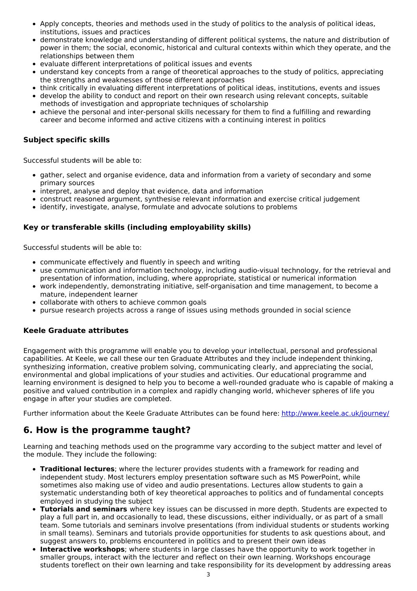- Apply concepts, theories and methods used in the study of politics to the analysis of political ideas, institutions, issues and practices
- demonstrate knowledge and understanding of different political systems, the nature and distribution of power in them; the social, economic, historical and cultural contexts within which they operate, and the relationships between them
- evaluate different interpretations of political issues and events
- understand key concepts from a range of theoretical approaches to the study of politics, appreciating the strengths and weaknesses of those different approaches
- think critically in evaluating different interpretations of political ideas, institutions, events and issues
- develop the ability to conduct and report on their own research using relevant concepts, suitable methods of investigation and appropriate techniques of scholarship
- achieve the personal and inter-personal skills necessary for them to find a fulfilling and rewarding career and become informed and active citizens with a continuing interest in politics

## **Subject specific skills**

Successful students will be able to:

- gather, select and organise evidence, data and information from a variety of secondary and some primary sources
- interpret, analyse and deploy that evidence, data and information
- construct reasoned argument, synthesise relevant information and exercise critical judgement
- identify, investigate, analyse, formulate and advocate solutions to problems

## **Key or transferable skills (including employability skills)**

Successful students will be able to:

- communicate effectively and fluently in speech and writing
- use communication and information technology, including audio-visual technology, for the retrieval and presentation of information, including, where appropriate, statistical or numerical information
- work independently, demonstrating initiative, self-organisation and time management, to become a mature, independent learner
- collaborate with others to achieve common goals
- pursue research projects across a range of issues using methods grounded in social science

#### **Keele Graduate attributes**

Engagement with this programme will enable you to develop your intellectual, personal and professional capabilities. At Keele, we call these our ten Graduate Attributes and they include independent thinking, synthesizing information, creative problem solving, communicating clearly, and appreciating the social, environmental and global implications of your studies and activities. Our educational programme and learning environment is designed to help you to become a well-rounded graduate who is capable of making a positive and valued contribution in a complex and rapidly changing world, whichever spheres of life you engage in after your studies are completed.

Further information about the Keele Graduate Attributes can be found here: <http://www.keele.ac.uk/journey/>

## **6. How is the programme taught?**

Learning and teaching methods used on the programme vary according to the subject matter and level of the module. They include the following:

- **Traditional lectures**; where the lecturer provides students with a framework for reading and independent study. Most lecturers employ presentation software such as MS PowerPoint, while sometimes also making use of video and audio presentations. Lectures allow students to gain a systematic understanding both of key theoretical approaches to politics and of fundamental concepts employed in studying the subject
- **Tutorials and seminars** where key issues can be discussed in more depth. Students are expected to play a full part in, and occasionally to lead, these discussions, either individually, or as part of a small team. Some tutorials and seminars involve presentations (from individual students or students working in small teams). Seminars and tutorials provide opportunities for students to ask questions about, and suggest answers to, problems encountered in politics and to present their own ideas
- **Interactive workshops**; where students in large classes have the opportunity to work together in smaller groups, interact with the lecturer and reflect on their own learning. Workshops encourage students toreflect on their own learning and take responsibility for its development by addressing areas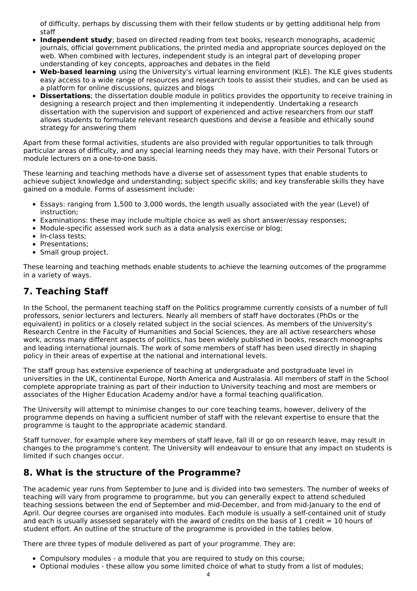of difficulty, perhaps by discussing them with their fellow students or by getting additional help from staff

- **Independent study**; based on directed reading from text books, research monographs, academic journals, official government publications, the printed media and appropriate sources deployed on the web. When combined with lectures, independent study is an integral part of developing proper understanding of key concepts, approaches and debates in the field
- **Web-based learning** using the University's virtual learning environment (KLE). The KLE gives students easy access to a wide range of resources and research tools to assist their studies, and can be used as a platform for online discussions, quizzes and blogs
- **Dissertations**; the dissertation double module in politics provides the opportunity to receive training in designing a research project and then implementing it independently. Undertaking a research dissertation with the supervision and support of experienced and active researchers from our staff allows students to formulate relevant research questions and devise a feasible and ethically sound strategy for answering them

Apart from these formal activities, students are also provided with regular opportunities to talk through particular areas of difficulty, and any special learning needs they may have, with their Personal Tutors or module lecturers on a one-to-one basis.

These learning and teaching methods have a diverse set of assessment types that enable students to achieve subject knowledge and understanding; subject specific skills; and key transferable skills they have gained on a module. Forms of assessment include:

- Essays: ranging from 1,500 to 3,000 words, the length usually associated with the year (Level) of instruction;
- Examinations: these may include multiple choice as well as short answer/essay responses;
- Module-specific assessed work such as a data analysis exercise or blog;
- In-class tests:
- Presentations:
- Small group project.

These learning and teaching methods enable students to achieve the learning outcomes of the programme in a variety of ways.

# **7. Teaching Staff**

In the School, the permanent teaching staff on the Politics programme currently consists of a number of full professors, senior lecturers and lecturers. Nearly all members of staff have doctorates (PhDs or the equivalent) in politics or a closely related subject in the social sciences. As members of the University's Research Centre in the Faculty of Humanities and Social Sciences, they are all active researchers whose work, across many different aspects of politics, has been widely published in books, research monographs and leading international journals. The work of some members of staff has been used directly in shaping policy in their areas of expertise at the national and international levels.

The staff group has extensive experience of teaching at undergraduate and postgraduate level in universities in the UK, continental Europe, North America and Australasia. All members of staff in the School complete appropriate training as part of their induction to University teaching and most are members or associates of the Higher Education Academy and/or have a formal teaching qualification.

The University will attempt to minimise changes to our core teaching teams, however, delivery of the programme depends on having a sufficient number of staff with the relevant expertise to ensure that the programme is taught to the appropriate academic standard.

Staff turnover, for example where key members of staff leave, fall ill or go on research leave, may result in changes to the programme's content. The University will endeavour to ensure that any impact on students is limited if such changes occur.

# **8. What is the structure of the Programme?**

The academic year runs from September to June and is divided into two semesters. The number of weeks of teaching will vary from programme to programme, but you can generally expect to attend scheduled teaching sessions between the end of September and mid-December, and from mid-January to the end of April. Our degree courses are organised into modules. Each module is usually a self-contained unit of study and each is usually assessed separately with the award of credits on the basis of 1 credit  $= 10$  hours of student effort. An outline of the structure of the programme is provided in the tables below.

There are three types of module delivered as part of your programme. They are:

- Compulsory modules a module that you are required to study on this course;
- Optional modules these allow you some limited choice of what to study from a list of modules;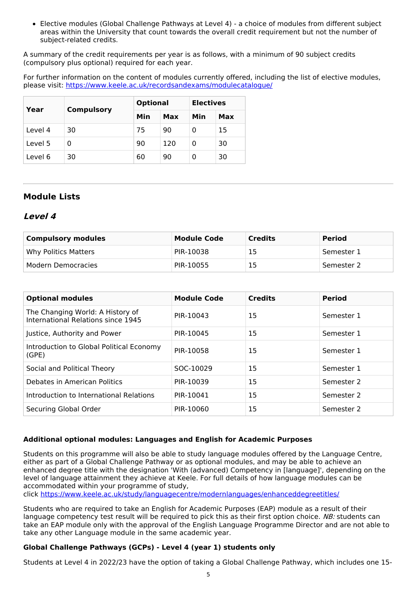Elective modules (Global Challenge Pathways at Level 4) - a choice of modules from different subject areas within the University that count towards the overall credit requirement but not the number of subject-related credits.

A summary of the credit requirements per year is as follows, with a minimum of 90 subject credits (compulsory plus optional) required for each year.

For further information on the content of modules currently offered, including the list of elective modules, please visit: <https://www.keele.ac.uk/recordsandexams/modulecatalogue/>

|         |                   | <b>Optional</b> |     | <b>Electives</b> |     |
|---------|-------------------|-----------------|-----|------------------|-----|
| Year    | <b>Compulsory</b> | Min             | Max | Min              | Max |
| Level 4 | 30                | 75              | 90  | 0                | 15  |
| Level 5 | Ω                 | 90              | 120 | 0                | 30  |
| Level 6 | 30                | 60              | 90  | 0                | 30  |

## **Module Lists**

## **Level 4**

| <b>Compulsory modules</b> | <b>Module Code</b> | <b>Credits</b> | <b>Period</b> |
|---------------------------|--------------------|----------------|---------------|
| Why Politics Matters      | PIR-10038          | 15             | Semester 1    |
| Modern Democracies        | PIR-10055          | 15             | Semester 2    |

| <b>Optional modules</b>                                                | <b>Module Code</b> | <b>Credits</b> | <b>Period</b> |
|------------------------------------------------------------------------|--------------------|----------------|---------------|
| The Changing World: A History of<br>International Relations since 1945 | PIR-10043          | 15             | Semester 1    |
| Justice, Authority and Power                                           | PIR-10045          | 15             | Semester 1    |
| Introduction to Global Political Economy<br>(GPE)                      | PIR-10058          | 15             | Semester 1    |
| Social and Political Theory                                            | SOC-10029          | 15             | Semester 1    |
| Debates in American Politics                                           | PIR-10039          | 15             | Semester 2    |
| Introduction to International Relations                                | PIR-10041          | 15             | Semester 2    |
| Securing Global Order                                                  | PIR-10060          | 15             | Semester 2    |

## **Additional optional modules: Languages and English for Academic Purposes**

Students on this programme will also be able to study language modules offered by the Language Centre, either as part of a Global Challenge Pathway or as optional modules, and may be able to achieve an enhanced degree title with the designation 'With (advanced) Competency in [language]', depending on the level of language attainment they achieve at Keele. For full details of how language modules can be accommodated within your programme of study,

click <https://www.keele.ac.uk/study/languagecentre/modernlanguages/enhanceddegreetitles/>

Students who are required to take an English for Academic Purposes (EAP) module as a result of their language competency test result will be required to pick this as their first option choice. NB: students can take an EAP module only with the approval of the English Language Programme Director and are not able to take any other Language module in the same academic year.

## **Global Challenge Pathways (GCPs) - Level 4 (year 1) students only**

Students at Level 4 in 2022/23 have the option of taking a Global Challenge Pathway, which includes one 15-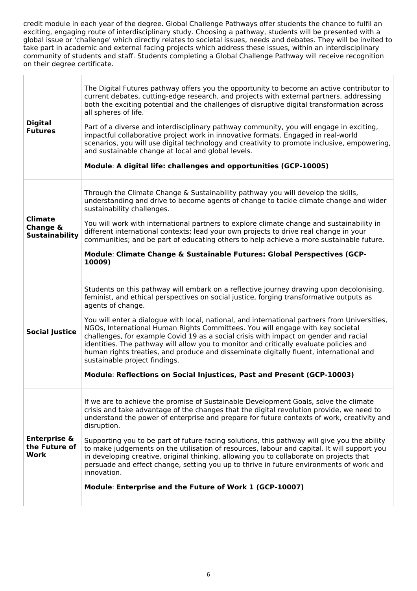credit module in each year of the degree. Global Challenge Pathways offer students the chance to fulfil an exciting, engaging route of interdisciplinary study. Choosing a pathway, students will be presented with a global issue or 'challenge' which directly relates to societal issues, needs and debates. They will be invited to take part in academic and external facing projects which address these issues, within an interdisciplinary community of students and staff. Students completing a Global Challenge Pathway will receive recognition on their degree certificate.

| <b>Digital</b><br><b>Futures</b>                        | The Digital Futures pathway offers you the opportunity to become an active contributor to<br>current debates, cutting-edge research, and projects with external partners, addressing<br>both the exciting potential and the challenges of disruptive digital transformation across<br>all spheres of life.<br>Part of a diverse and interdisciplinary pathway community, you will engage in exciting,<br>impactful collaborative project work in innovative formats. Engaged in real-world<br>scenarios, you will use digital technology and creativity to promote inclusive, empowering,<br>and sustainable change at local and global levels.<br>Module: A digital life: challenges and opportunities (GCP-10005)                                                               |
|---------------------------------------------------------|-----------------------------------------------------------------------------------------------------------------------------------------------------------------------------------------------------------------------------------------------------------------------------------------------------------------------------------------------------------------------------------------------------------------------------------------------------------------------------------------------------------------------------------------------------------------------------------------------------------------------------------------------------------------------------------------------------------------------------------------------------------------------------------|
| <b>Climate</b><br>Change &<br><b>Sustainability</b>     | Through the Climate Change & Sustainability pathway you will develop the skills,<br>understanding and drive to become agents of change to tackle climate change and wider<br>sustainability challenges.<br>You will work with international partners to explore climate change and sustainability in<br>different international contexts; lead your own projects to drive real change in your<br>communities; and be part of educating others to help achieve a more sustainable future.<br>Module: Climate Change & Sustainable Futures: Global Perspectives (GCP-<br>10009)                                                                                                                                                                                                     |
| <b>Social Justice</b>                                   | Students on this pathway will embark on a reflective journey drawing upon decolonising,<br>feminist, and ethical perspectives on social justice, forging transformative outputs as<br>agents of change.<br>You will enter a dialogue with local, national, and international partners from Universities,<br>NGOs, International Human Rights Committees. You will engage with key societal<br>challenges, for example Covid 19 as a social crisis with impact on gender and racial<br>identities. The pathway will allow you to monitor and critically evaluate policies and<br>human rights treaties, and produce and disseminate digitally fluent, international and<br>sustainable project findings.<br>Module: Reflections on Social Injustices, Past and Present (GCP-10003) |
| <b>Enterprise &amp;</b><br>the Future of<br><b>Work</b> | If we are to achieve the promise of Sustainable Development Goals, solve the climate<br>crisis and take advantage of the changes that the digital revolution provide, we need to<br>understand the power of enterprise and prepare for future contexts of work, creativity and<br>disruption.<br>Supporting you to be part of future-facing solutions, this pathway will give you the ability<br>to make judgements on the utilisation of resources, labour and capital. It will support you<br>in developing creative, original thinking, allowing you to collaborate on projects that<br>persuade and effect change, setting you up to thrive in future environments of work and<br>innovation.<br>Module: Enterprise and the Future of Work 1 (GCP-10007)                      |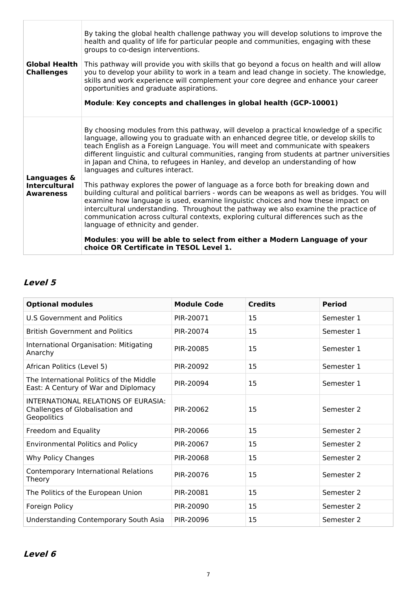| <b>Global Health</b><br><b>Challenges</b>               | By taking the global health challenge pathway you will develop solutions to improve the<br>health and quality of life for particular people and communities, engaging with these<br>groups to co-design interventions.<br>This pathway will provide you with skills that go beyond a focus on health and will allow<br>you to develop your ability to work in a team and lead change in society. The knowledge,<br>skills and work experience will complement your core degree and enhance your career<br>opportunities and graduate aspirations.<br>Module: Key concepts and challenges in global health (GCP-10001)                                                                                                                                                                                                                                                                                                                                                                  |
|---------------------------------------------------------|----------------------------------------------------------------------------------------------------------------------------------------------------------------------------------------------------------------------------------------------------------------------------------------------------------------------------------------------------------------------------------------------------------------------------------------------------------------------------------------------------------------------------------------------------------------------------------------------------------------------------------------------------------------------------------------------------------------------------------------------------------------------------------------------------------------------------------------------------------------------------------------------------------------------------------------------------------------------------------------|
| Languages &<br><b>Intercultural</b><br><b>Awareness</b> | By choosing modules from this pathway, will develop a practical knowledge of a specific<br>language, allowing you to graduate with an enhanced degree title, or develop skills to<br>teach English as a Foreign Language. You will meet and communicate with speakers<br>different linguistic and cultural communities, ranging from students at partner universities<br>in Japan and China, to refugees in Hanley, and develop an understanding of how<br>languages and cultures interact.<br>This pathway explores the power of language as a force both for breaking down and<br>building cultural and political barriers - words can be weapons as well as bridges. You will<br>examine how language is used, examine linguistic choices and how these impact on<br>intercultural understanding. Throughout the pathway we also examine the practice of<br>communication across cultural contexts, exploring cultural differences such as the<br>language of ethnicity and gender. |
|                                                         | Modules: you will be able to select from either a Modern Language of your<br>choice OR Certificate in TESOL Level 1.                                                                                                                                                                                                                                                                                                                                                                                                                                                                                                                                                                                                                                                                                                                                                                                                                                                                   |

# **Level 5**

| <b>Optional modules</b>                                                               | <b>Module Code</b> | <b>Credits</b> | <b>Period</b> |
|---------------------------------------------------------------------------------------|--------------------|----------------|---------------|
| <b>U.S Government and Politics</b>                                                    | PIR-20071          | 15             | Semester 1    |
| <b>British Government and Politics</b>                                                | PIR-20074          | 15             | Semester 1    |
| International Organisation: Mitigating<br>Anarchy                                     | PIR-20085          | 15             | Semester 1    |
| African Politics (Level 5)                                                            | PIR-20092          | 15             | Semester 1    |
| The International Politics of the Middle<br>East: A Century of War and Diplomacy      | PIR-20094          | 15             | Semester 1    |
| INTERNATIONAL RELATIONS OF EURASIA:<br>Challenges of Globalisation and<br>Geopolitics | PIR-20062          | 15             | Semester 2    |
| Freedom and Equality                                                                  | PIR-20066          | 15             | Semester 2    |
| <b>Environmental Politics and Policy</b>                                              | PIR-20067          | 15             | Semester 2    |
| Why Policy Changes                                                                    | PIR-20068          | 15             | Semester 2    |
| Contemporary International Relations<br>Theory                                        | PIR-20076          | 15             | Semester 2    |
| The Politics of the European Union                                                    | PIR-20081          | 15             | Semester 2    |
| Foreign Policy                                                                        | PIR-20090          | 15             | Semester 2    |
| Understanding Contemporary South Asia                                                 | PIR-20096          | 15             | Semester 2    |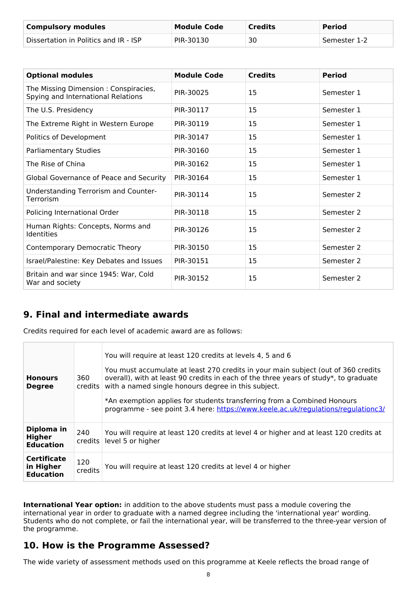| <b>Compulsory modules</b>             | Module Code | <b>Credits</b> | <b>Period</b> |
|---------------------------------------|-------------|----------------|---------------|
| Dissertation in Politics and IR - ISP | PIR-30130   | 30             | Semester 1-2  |

| <b>Optional modules</b>                                                    | <b>Module Code</b> | <b>Credits</b> | <b>Period</b> |
|----------------------------------------------------------------------------|--------------------|----------------|---------------|
| The Missing Dimension: Conspiracies,<br>Spying and International Relations | PIR-30025          | 15             | Semester 1    |
| The U.S. Presidency                                                        | PIR-30117          | 15             | Semester 1    |
| The Extreme Right in Western Europe                                        | PIR-30119          | 15             | Semester 1    |
| Politics of Development                                                    | PIR-30147          | 15             | Semester 1    |
| Parliamentary Studies                                                      | PIR-30160          | 15             | Semester 1    |
| The Rise of China                                                          | PIR-30162          | 15             | Semester 1    |
| Global Governance of Peace and Security                                    | PIR-30164          | 15             | Semester 1    |
| Understanding Terrorism and Counter-<br>Terrorism                          | PIR-30114          | 15             | Semester 2    |
| Policing International Order                                               | PIR-30118          | 15             | Semester 2    |
| Human Rights: Concepts, Norms and<br>Identities                            | PIR-30126          | 15             | Semester 2    |
| Contemporary Democratic Theory                                             | PIR-30150          | 15             | Semester 2    |
| Israel/Palestine: Key Debates and Issues                                   | PIR-30151          | 15             | Semester 2    |
| Britain and war since 1945: War, Cold<br>War and society                   | PIR-30152          | 15             | Semester 2    |

# **9. Final and intermediate awards**

Credits required for each level of academic award are as follows:

| <b>Honours</b><br><b>Degree</b>                     | 360<br>credits l | You will require at least 120 credits at levels 4, 5 and 6<br>You must accumulate at least 270 credits in your main subject (out of 360 credits<br>overall), with at least 90 credits in each of the three years of study*, to graduate<br>with a named single honours degree in this subject.<br>*An exemption applies for students transferring from a Combined Honours<br>programme - see point 3.4 here: https://www.keele.ac.uk/regulations/regulationc3/ |
|-----------------------------------------------------|------------------|----------------------------------------------------------------------------------------------------------------------------------------------------------------------------------------------------------------------------------------------------------------------------------------------------------------------------------------------------------------------------------------------------------------------------------------------------------------|
| Diploma in<br>Higher<br><b>Education</b>            | 240<br>credits   | You will require at least 120 credits at level 4 or higher and at least 120 credits at<br>level 5 or higher                                                                                                                                                                                                                                                                                                                                                    |
| <b>Certificate</b><br>in Higher<br><b>Education</b> | 120<br>credits   | You will require at least 120 credits at level 4 or higher                                                                                                                                                                                                                                                                                                                                                                                                     |

**International Year option:** in addition to the above students must pass a module covering the international year in order to graduate with a named degree including the 'international year' wording. Students who do not complete, or fail the international year, will be transferred to the three-year version of the programme.

# **10. How is the Programme Assessed?**

The wide variety of assessment methods used on this programme at Keele reflects the broad range of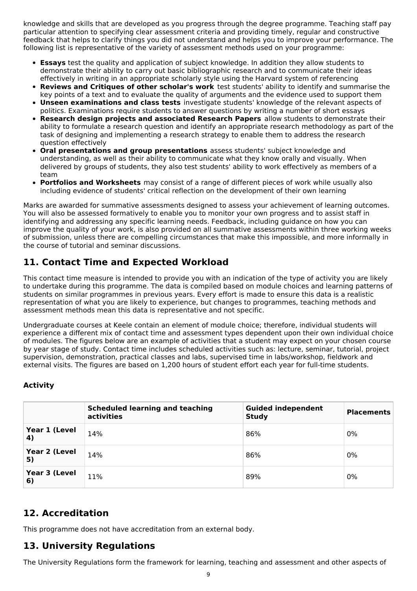knowledge and skills that are developed as you progress through the degree programme. Teaching staff pay particular attention to specifying clear assessment criteria and providing timely, regular and constructive feedback that helps to clarify things you did not understand and helps you to improve your performance. The following list is representative of the variety of assessment methods used on your programme:

- **Essays** test the quality and application of subject knowledge. In addition they allow students to demonstrate their ability to carry out basic bibliographic research and to communicate their ideas effectively in writing in an appropriate scholarly style using the Harvard system of referencing
- **Reviews and Critiques of other scholar's work** test students' ability to identify and summarise the key points of a text and to evaluate the quality of arguments and the evidence used to support them
- **Unseen examinations and class tests** investigate students' knowledge of the relevant aspects of politics. Examinations require students to answer questions by writing a number of short essays
- **Research design projects and associated Research Papers** allow students to demonstrate their ability to formulate a research question and identify an appropriate research methodology as part of the task of designing and implementing a research strategy to enable them to address the research question effectively
- **Oral presentations and group presentations** assess students' subject knowledge and understanding, as well as their ability to communicate what they know orally and visually. When delivered by groups of students, they also test students' ability to work effectively as members of a team
- **Portfolios and Worksheets** may consist of a range of different pieces of work while usually also including evidence of students' critical reflection on the development of their own learning

Marks are awarded for summative assessments designed to assess your achievement of learning outcomes. You will also be assessed formatively to enable you to monitor your own progress and to assist staff in identifying and addressing any specific learning needs. Feedback, including guidance on how you can improve the quality of your work, is also provided on all summative assessments within three working weeks of submission, unless there are compelling circumstances that make this impossible, and more informally in the course of tutorial and seminar discussions.

# **11. Contact Time and Expected Workload**

This contact time measure is intended to provide you with an indication of the type of activity you are likely to undertake during this programme. The data is compiled based on module choices and learning patterns of students on similar programmes in previous years. Every effort is made to ensure this data is a realistic representation of what you are likely to experience, but changes to programmes, teaching methods and assessment methods mean this data is representative and not specific.

Undergraduate courses at Keele contain an element of module choice; therefore, individual students will experience a different mix of contact time and assessment types dependent upon their own individual choice of modules. The figures below are an example of activities that a student may expect on your chosen course by year stage of study. Contact time includes scheduled activities such as: lecture, seminar, tutorial, project supervision, demonstration, practical classes and labs, supervised time in labs/workshop, fieldwork and external visits. The figures are based on 1,200 hours of student effort each year for full-time students.

## **Activity**

|                     | <b>Scheduled learning and teaching</b><br>activities | <b>Guided independent</b><br><b>Study</b> | <b>Placements</b> |
|---------------------|------------------------------------------------------|-------------------------------------------|-------------------|
| Year 1 (Level<br>4) | 14%                                                  | 86%                                       | 0%                |
| Year 2 (Level<br>5) | 14%                                                  | 86%                                       | 0%                |
| Year 3 (Level<br>6) | 11%                                                  | 89%                                       | 0%                |

# **12. Accreditation**

This programme does not have accreditation from an external body.

# **13. University Regulations**

The University Regulations form the framework for learning, teaching and assessment and other aspects of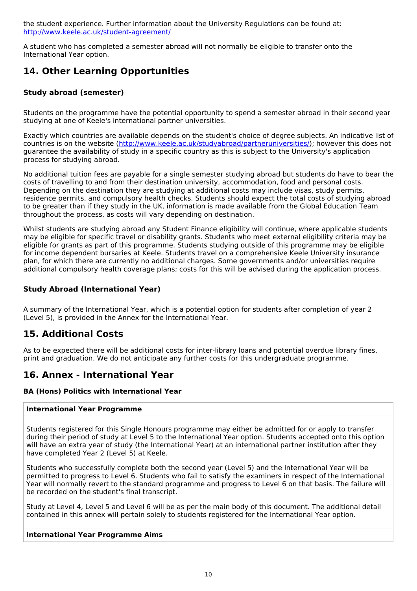the student experience. Further information about the University Regulations can be found at: <http://www.keele.ac.uk/student-agreement/>

A student who has completed a semester abroad will not normally be eligible to transfer onto the International Year option.

# **14. Other Learning Opportunities**

## **Study abroad (semester)**

Students on the programme have the potential opportunity to spend a semester abroad in their second year studying at one of Keele's international partner universities.

Exactly which countries are available depends on the student's choice of degree subjects. An indicative list of countries is on the website (<http://www.keele.ac.uk/studyabroad/partneruniversities/>); however this does not guarantee the availability of study in a specific country as this is subject to the University's application process for studying abroad.

No additional tuition fees are payable for a single semester studying abroad but students do have to bear the costs of travelling to and from their destination university, accommodation, food and personal costs. Depending on the destination they are studying at additional costs may include visas, study permits, residence permits, and compulsory health checks. Students should expect the total costs of studying abroad to be greater than if they study in the UK, information is made available from the Global Education Team throughout the process, as costs will vary depending on destination.

Whilst students are studying abroad any Student Finance eligibility will continue, where applicable students may be eligible for specific travel or disability grants. Students who meet external eligibility criteria may be eligible for grants as part of this programme. Students studying outside of this programme may be eligible for income dependent bursaries at Keele. Students travel on a comprehensive Keele University insurance plan, for which there are currently no additional charges. Some governments and/or universities require additional compulsory health coverage plans; costs for this will be advised during the application process.

## **Study Abroad (International Year)**

A summary of the International Year, which is a potential option for students after completion of year 2 (Level 5), is provided in the Annex for the International Year.

# **15. Additional Costs**

As to be expected there will be additional costs for inter-library loans and potential overdue library fines, print and graduation. We do not anticipate any further costs for this undergraduate programme.

## **16. Annex - International Year**

#### **BA (Hons) Politics with International Year**

#### **International Year Programme**

Students registered for this Single Honours programme may either be admitted for or apply to transfer during their period of study at Level 5 to the International Year option. Students accepted onto this option will have an extra year of study (the International Year) at an international partner institution after they have completed Year 2 (Level 5) at Keele.

Students who successfully complete both the second year (Level 5) and the International Year will be permitted to progress to Level 6. Students who fail to satisfy the examiners in respect of the International Year will normally revert to the standard programme and progress to Level 6 on that basis. The failure will be recorded on the student's final transcript.

Study at Level 4, Level 5 and Level 6 will be as per the main body of this document. The additional detail contained in this annex will pertain solely to students registered for the International Year option.

#### **International Year Programme Aims**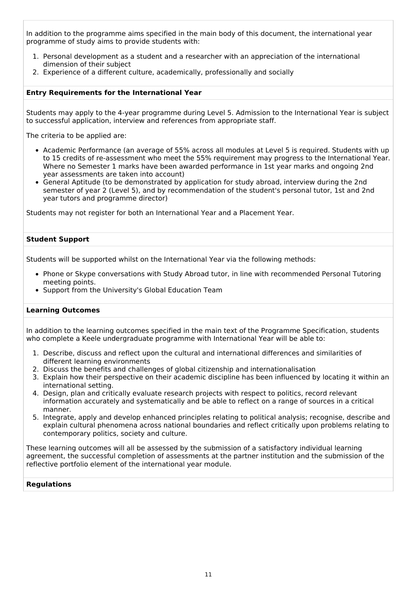In addition to the programme aims specified in the main body of this document, the international year programme of study aims to provide students with:

- 1. Personal development as a student and a researcher with an appreciation of the international dimension of their subject
- 2. Experience of a different culture, academically, professionally and socially

#### **Entry Requirements for the International Year**

Students may apply to the 4-year programme during Level 5. Admission to the International Year is subject to successful application, interview and references from appropriate staff.

The criteria to be applied are:

- Academic Performance (an average of 55% across all modules at Level 5 is required. Students with up to 15 credits of re-assessment who meet the 55% requirement may progress to the International Year. Where no Semester 1 marks have been awarded performance in 1st year marks and ongoing 2nd year assessments are taken into account)
- General Aptitude (to be demonstrated by application for study abroad, interview during the 2nd semester of year 2 (Level 5), and by recommendation of the student's personal tutor, 1st and 2nd year tutors and programme director)

Students may not register for both an International Year and a Placement Year.

#### **Student Support**

Students will be supported whilst on the International Year via the following methods:

- Phone or Skype conversations with Study Abroad tutor, in line with recommended Personal Tutoring meeting points.
- Support from the University's Global Education Team

#### **Learning Outcomes**

In addition to the learning outcomes specified in the main text of the Programme Specification, students who complete a Keele undergraduate programme with International Year will be able to:

- 1. Describe, discuss and reflect upon the cultural and international differences and similarities of different learning environments
- 2. Discuss the benefits and challenges of global citizenship and internationalisation
- 3. Explain how their perspective on their academic discipline has been influenced by locating it within an international setting.
- 4. Design, plan and critically evaluate research projects with respect to politics, record relevant information accurately and systematically and be able to reflect on a range of sources in a critical manner.
- 5. Integrate, apply and develop enhanced principles relating to political analysis; recognise, describe and explain cultural phenomena across national boundaries and reflect critically upon problems relating to contemporary politics, society and culture.

These learning outcomes will all be assessed by the submission of a satisfactory individual learning agreement, the successful completion of assessments at the partner institution and the submission of the reflective portfolio element of the international year module.

#### **Regulations**